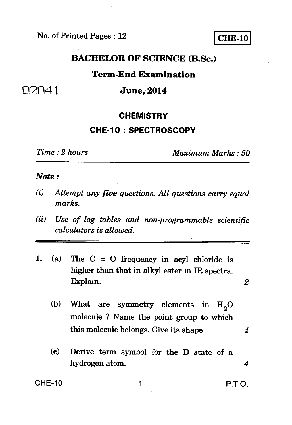**No. of Printed Pages : 12 CHE-10** 

### **BACHELOR OF SCIENCE (B.Sc.)**

### **Term-End Examination**

02041 **June 2014** 

#### **CHEMISTRY**

#### **CHE-10 : SPECTROSCOPY**

*Time : 2 hours Maximum Marks : 50* 

#### *Note :*

- *(i) Attempt any five questions. All questions carry equal marks.*
- *(ii) Use of log tables and non programmable scientific calculators is allowed.*
- *1.* **(a) The C = 0 frequency in acyl chloride is higher than that in alkyl ester in IR spectra. Explain.** *2* 
	-
	- (b) What are symmetry elements in H<sub>2</sub>O **molecule ? Name the point group to which this molecule belongs. Give its shape.** *4*
	- **(c) Derive term symbol for the D state of a hydrogen atom.** *4*

**CHE-10 1 P.T.O.**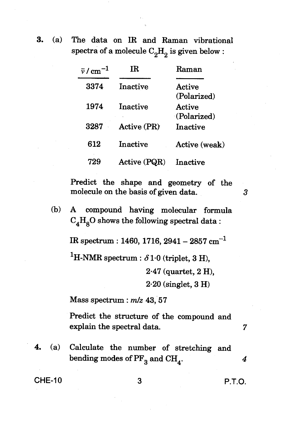3. (a) The data on IR and Raman vibrational spectra of a molecule  $C_2H_2$  is given below :

| $\bar{v}$ / cm | TR.          | Raman                 |
|----------------|--------------|-----------------------|
| 3374           | Inactive     | Active<br>(Polarized) |
| 1974           | Inactive     | Active<br>(Polarized) |
| 3287           | Active (PR)  | Inactive              |
| 612            | Inactive     | Active (weak)         |
|                | Active (PQR) | Inactive              |

Predict the shape and geometry of the molecule on the basis of given data. *3* 

(b) A compound having molecular formula  $\mathrm{C_4H_8O}$  shows the following spectral data :

IR spectrum : 1460, 1716, 2941 - 2857  $cm^{-1}$ 

<sup>1</sup>H-NMR spectrum :  $\delta$  1.0 (triplet, 3 H),

2.47 (quartet, 2 H),

2.20 (singlet, 3 H)

Mass spectrum : *m/z* 43, 57

Predict the structure of the compound and explain the spectral data. 7

4. (a) Calculate the number of stretching and bending modes of  $PF_3$  and  $CH_4$ .  $\hspace{1.6cm}$  4

CHE-10 3 **P.T.O.**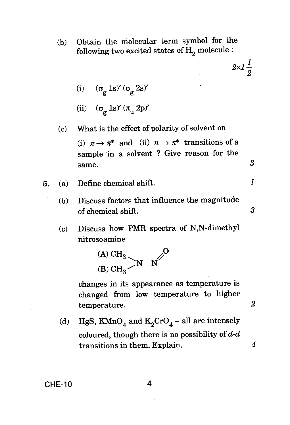- (b) Obtain the molecular term symbol for the following two excited states of  $H_2$  molecule :
	- $2\times1\frac{1}{2}$ *2*

 $\mathbf{1}$ 

 $\overline{2}$ 

4

(i)  $(\sigma_g 1s)' (\sigma_g 2s)'$ 

(ii)  $(\sigma_g 1s)' (\pi_u 2p)'$ 

- (c) What is the effect of polarity of solvent on (i)  $\pi \rightarrow \pi^*$  and (ii)  $n \rightarrow \pi^*$  transitions of a sample in a solvent ? Give reason for the  $\sum_{i=1}^{n}$  same.
- 5. (a) Define chemical shift.
	- (b) Discuss factors that influence the magnitude of chemical shift. 3
	- (c) Discuss how PMR spectra of N,N-dimethyl nitrosoamine



changes in its appearance as temperature is changed from low temperature to higher temperature.

(d) HgS, KMnO<sub>4</sub> and K<sub>2</sub>CrO<sub>4</sub> – all are intensely coloured, though there is no possibility of *d-d*  transitions in them. Explain.

CHE-10 4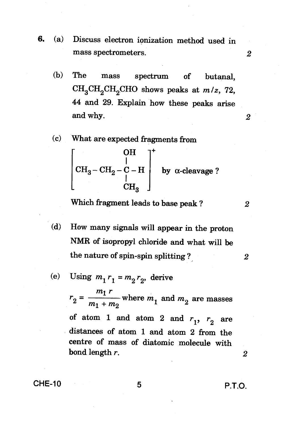- 6. (a) Discuss electron ionization method used in mass spectrometers. **2 2** 
	- (b) The mass spectrum of butanal,  $CH<sub>3</sub>CH<sub>2</sub>CH<sub>2</sub>CHO$  shows peaks at  $m/z$ , 72, 44 and 29. Explain how these peaks arise and why.
	-

(c) What are expected fragments from\n
$$
\begin{bmatrix}\n\begin{array}{c}\nO\text{H} \\
\vert \\
CH_3-C\text{H}_2-C-H \\
\end{array}\n\end{bmatrix}^{\text{+}}
$$
\nby  $\alpha$ -clearage ?

Which fragment leads to base peak ? *2* 

(d) How many signals will appear in the proton NMR of isopropyl chloride and what will be the nature of spin-spin splitting ?,

(e) Using 
$$
m_1 r_1 = m_2 r_2
$$
, derive

 $r_2 = \frac{m_1 r}{m_1 + m_2}$  where  $m_1$  and  $m_2$  are masses of atom 1 and atom 2 and  $r_1$ ,  $r_2$ are distances of atom 1 and atom 2 from the centre of mass of diatomic molecule with bond length *r.* 

CHE-10 5 P.T.O.

*2* 

*2* 

 $\boldsymbol{2}$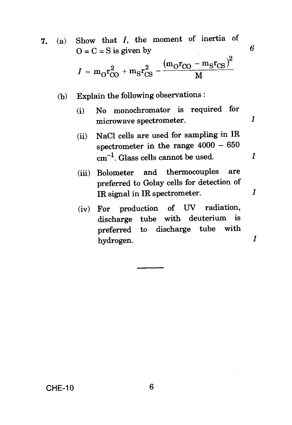- *7.* (a) Show that *I,* the moment of inertia of  $Q = C = S$  is given by  $6<sup>2</sup>$  $I = m_O r_{CO}^2 + m_S r_{CS}^2 - \frac{(m_O r_{CO} - m_S r_{CS})^2}{M}$ 
	- (b) Explain the following observations :
		- (i) No monochromator is required for microwave spectrometer.
		- (ii) NaC1 cells are used for sampling in **IR**  spectrometer in the range 4000 - 650  $cm^{-1}$ . Glass cells cannot be used.
		- (iii) Bolometer and thermocouples are preferred to Golay cells for detection of IR signal in IR spectrometer.
		- (iv) For production of UV radiation, discharge tube with deuterium is preferred to discharge tube with hydrogen.

 $\overline{1}$ 

 $\mathbf{1}$ 

 $\mathbf{1}$ 

 $\boldsymbol{\mathit{1}}$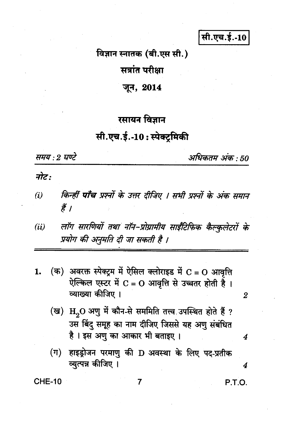सी.एच.ई.-10

# विज्ञान स्नातक (बी.एस सी.) सत्रांत परीक्षा

जून, 2014

## रसायन विज्ञान

# सी.एच.ई.-10: स्पेक्टमिकी

समय : 2 घण्टे

अधिकतम अंक : 50

नोट:

- किन्हीं **पाँच** प्रश्नों के उत्तर दीजिए । सभी प्रश्नों के अंक समान  $(i)$ हैं ।
- लॉग सारणियों तथा नॉन-प्रोग्रामीय साईंटिफिक कैल्कुलेटरों के  $(ii)$ प्रयोग की अनुमति दी जा सकती है ।
- (क) अवरक्त स्पेक्ट्रम में ऐसिल क्लोराइड में  $C = O$  आवृत्ति 1. ऐल्किल एस्टर में C = O आवृत्ति से उच्चतर होती है। व्याख्या कीजिए ।
- $\boldsymbol{2}$

4

4

- (ख) H2O अणु में कौन-से सममिति तत्त्व उपस्थित होते हैं ? उस बिंदु समूह का नाम दीजिए जिससे यह अणु संबंधित है। इस अणु का आकार भी बताइए।
- (ग) हाइड़ोजन परमाण की D अवस्था के लिए पद-प्रतीक व्युत्पन्न कीजिए ।

7

**CHE-10** 

**P.T.O.**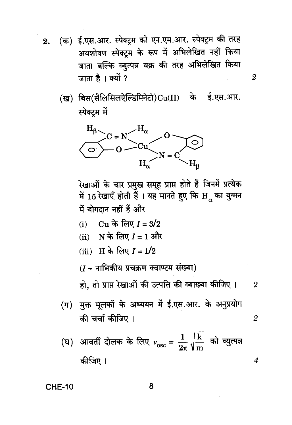- (क) ई.एस.आर. स्पेक्ट्रम को एन.एम.आर. स्पेक्ट्रम की तरह  $2.$ अवशोषण स्पेक्टम के रूप में अभिलेखित नहीं किया जाता बल्कि व्युत्पन्न वक्र की तरह अभिलेखित किया जाता है। क्यों ?
	- (ख) बिस(सैलिसिलऐल्डिमिनेटो)Cu(II) के ई.एस.आर. स्पेक्ट्रम में



रेखाओं के चार प्रमुख समूह प्राप्त होते हैं जिनमें प्रत्येक में 15 रेखाएँ होती हैं । यह मानते हुए कि  $\mathbf{H}_\alpha$  का युग्मन में योगदान नहीं हैं और

(i) Cu के लिए 
$$
I = 3/2
$$

(ii) N के लिए 
$$
I = 1
$$
 और

(iii) H के लिए 
$$
I = 1/2
$$

 $(I = \pi$ भिकीय प्रचक्रण क्वाण्टम संख्या)

हो, तो प्राप्त रेखाओं की उत्पत्ति की व्याख्या कीजिए ।  $\overline{2}$ 

(ग) मुक्त मूलकों के अध्ययन में ई.एस.आर. के अनुप्रयोग की चर्चा कीजिए ।

(घ) आवर्ती दोलक के लिए 
$$
v_{\rm osc} = \frac{1}{2\pi} \sqrt{\frac{\rm k}{\rm m}}
$$
 को व्युत्पन्न  
 कीजिए ।

#### **CHE-10**

8

 $\boldsymbol{2}$ 

 $\overline{2}$ 

4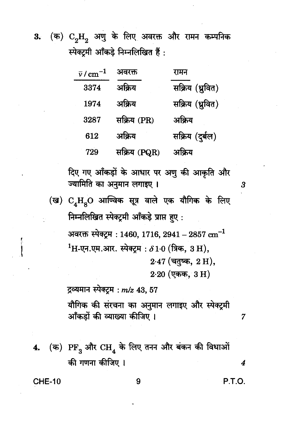(क)  $C_2H_2$  अणु के लिए अवरक्त और रामन कम्पनिक  $3.$ स्पेक्टमी आँकड़े निम्नलिखित हैं:

| $\bar{v}/\text{cm}^{-1}$ | अवरक्त       | रामन             |
|--------------------------|--------------|------------------|
| 3374                     | अक्रिय       | सक्रिय (ध्रुवित) |
| 1974                     | अक्रिय       | सक्रिय (ध्रुवित) |
| 3287                     | सक्रिय (PR)  | अक्रिय           |
| 612                      | अक्रिय       | सक्रिय (दुर्बल)  |
| 729                      | सक्रिय (PQR) | अक्रिय           |

दिए गए आँकड़ों के आधार पर अणु की आकृति और ज्यामिति का अनुमान लगाइए ।

(ख)  $C_A H_2 O$  आण्विक सूत्र वाले एक यौगिक के लिए निम्नलिखित स्पेक्ट्रमी आँकड़े प्राप्त हुए: अवरक्त स्पेक्ट्रम: 1460, 1716, 2941 - 2857  $\text{cm}^{-1}$  $^{1}$ H-एन.एम.आर. स्पेक्ट्रम:  $\delta10$  (त्रिक, 3 H),  $2.47$  (चतुष्क,  $2H$ ),

 $2.20$  (एकक,  $3H$ )

द्रव्यमान स्पेक्ट्रम: m/z 43, 57

यौगिक की संरचना का अनुमान लगाइए और स्पेक्ट्रमी आँकडों की व्याख्या कीजिए ।

(क)  $\mathrm{PF}_3$  और  $\mathrm{CH}_4$  के लिए तनन और बंकन की विधाओं 4. की गणना कीजिए ।

**CHE-10** 

**P.T.O.** 

7

 $\boldsymbol{4}$ 

 $\boldsymbol{3}$ 

9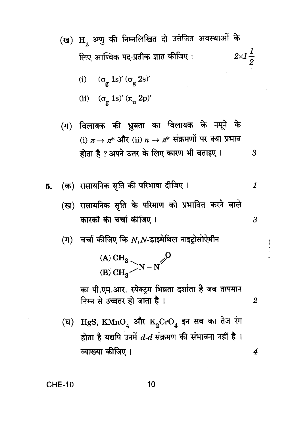- (ख) H<sub>2</sub> अणु की निम्नलिखित दो उत्तेजित अवस्थाओं के  $2\times1\frac{1}{2}$ लिए आण्विक पद-प्रतीक ज्ञात कीजिए:
	- $(\sigma_g 1s)' (\sigma_g 2s)'$  $(i)$
	- (ii)  $(\sigma_{\alpha} 1s)' (\pi_{\alpha} 2p)'$
- (ग) विलायक की ध्रुवता का विलायक के नमूने के (i)  $\pi \rightarrow \pi^*$  और (ii)  $n \rightarrow \pi^*$  संक्रमणों पर क्या प्रभाव होता है ? अपने उत्तर के लिए कारण भी बताइए।

 $\boldsymbol{\beta}$ 

3

 $\overline{2}$ 

 $\overline{4}$ 

- (क) रासायनिक सृति की परिभाषा दीजिए।  $\boldsymbol{\mathcal{I}}$ 5.
	- (ख) रासायनिक सृति के परिमाण को प्रभावित करने वाले कारकों की चर्चा कीजिए ।
	- $(1)$  चर्चा कीजिए कि N, N-डाइमेथिल नाइट्रोसोऐमीन

$$
rac{\text{(A) CH}_3}{\text{(B) CH}_3} > N - N
$$

का पी.एम.आर. स्पेक्ट्रम भिन्नता दर्शाता है जब तापमान निम्न से उच्चतर हो जाता है ।

(घ) HgS, KMnO, और K<sub>o</sub>CrO, इन सब का तेज रंग होता है यद्यपि उनमें  $d$ - $d$  संक्रमण की संभावना नहीं है। व्याख्या कीजिए ।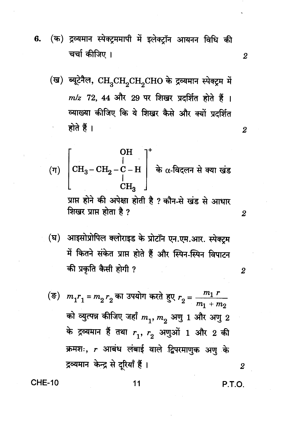- 6. (क) द्रव्यमान स्पेक्ट्रममापी में इलेक्ट्रॉन आयनन विधि की चर्चा कीजिए ।
	- (ख) ब्यूटेनैल,  $\mathrm{CH_{3}CH_{2}CH_{2}CHO}$  के द्रव्यमान स्पेक्ट्रम में m/z 72, 44 और 29 पर शिखर प्रदर्शित होते हैं । व्याख्या कीजिए कि ये शिखर कैसे और क्यों प्रदर्शित होते हैं ।

(घ) आइसोप्रोपिल क्लोराइड के प्रोटॉन एन.एम.आर. स्पेक्टम में कितने संकेत प्राप्त होते हैं और स्पिन-स्पिन विपाटन की प्रकृति कैसी होगी ?

(ङ) 
$$
m_1r_1 = m_2r_2
$$
 का उपयोग करते हुए  $r_2 = \frac{m_1 r}{m_1 + m_2}$   
को व्युत्पन्न कीजिए जहाँ  $m_1, m_2$  अणु 1 और अणु 2  
के द्रव्यमान हैं तथा  $r_1, r_2$  अणुओं 1 और 2 की  
क्रमशः, r आबंध लंबाई वाले द्विपरमाणुक अणु के  
द्रव्यमान केन्द्र से दूरियाँ हैं ।

**CHE-10** 

P.T.O.

 $\overline{2}$ 

 $\overline{2}$ 

 $\overline{2}$ 

 $\overline{2}$ 

 $\overline{2}$